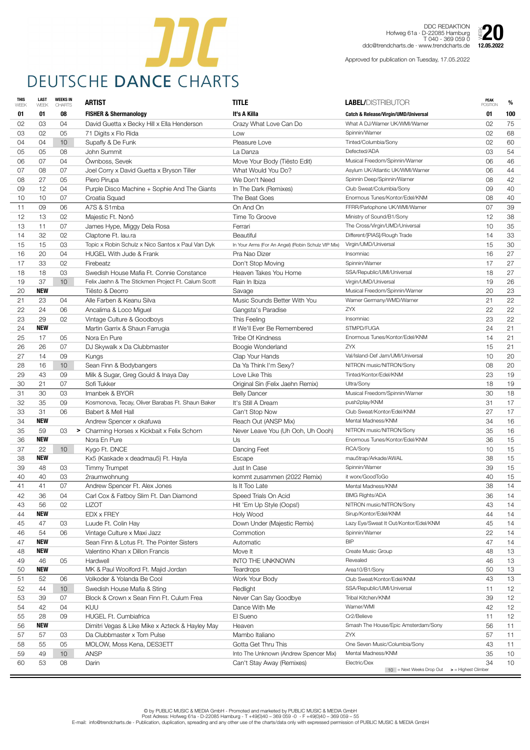

DDC REDAKTION Hofweg 61a · D-22085 Hamburg T 040 - 369 059 0 Hofweg 61a · D-DDC REDARTION<br>
Hofweg 61a · D-22085 Hamburg<br>ddc@trendcharts.de · www.trendcharts.de **12.05.2022** 

| <b>THIS</b><br>WEEK | <b>LAST</b><br>WEEK | <b>WEEKS IN</b><br><b>CHARTS</b> | <b>ARTIST</b>                                      | <b>TITLE</b>                                       | <b>LABEL/DISTRIBUTOR</b>                        | <b>PEAK</b><br><b>POSITION</b>     | %               |
|---------------------|---------------------|----------------------------------|----------------------------------------------------|----------------------------------------------------|-------------------------------------------------|------------------------------------|-----------------|
| 01                  | 01                  | 08                               | <b>FISHER &amp; Shermanology</b>                   | It's A Killa                                       | <b>Catch &amp; Release/Virgin/UMD/Universal</b> | 01                                 | 100             |
| 02                  | 03                  | 04                               | David Guetta x Becky Hill x Ella Henderson         | Crazy What Love Can Do                             | What A DJ/Warner UK/WMI/Warner                  | 02                                 | 75              |
| 03                  | 02                  | 05                               | 71 Digits x Flo Rida                               | Low                                                | Spinnin/Warner                                  | 02                                 | 68              |
| 04                  | 04                  | 10 <sup>°</sup>                  | Supafly & De Funk                                  | Pleasure Love                                      | Tinted/Columbia/Sony                            | 02                                 | 60              |
| 05                  | 05                  | 08                               | John Summit                                        | La Danza                                           | Defected/ADA                                    | 03                                 | 54              |
| 06                  | 07                  | 04                               | Ownboss, Sevek                                     | Move Your Body (Tiësto Edit)                       | Musical Freedom/Spinnin/Warner                  | 06                                 | 46              |
| 07                  | 08                  | 07                               | Joel Corry x David Guetta x Bryson Tiller          | What Would You Do?                                 | Asylum UK/Atlantic UK/WMI/Warner                | 06                                 | 44              |
| 08                  | 27                  | 05                               | Piero Pirupa                                       | We Don't Need                                      | Spinnin Deep/Spinnin/Warner                     | 08                                 | 42              |
| 09                  | 12                  | 04                               | Purple Disco Machine + Sophie And The Giants       | In The Dark (Remixes)                              | Club Sweat/Columbia/Sony                        | 09                                 | 40              |
| 10                  | 10                  | 07                               | Croatia Squad                                      | The Beat Goes                                      | Enormous Tunes/Kontor/Edel/KNM                  | 08                                 | 40              |
| 11                  | 09                  | 06                               | A7S & S1mba                                        | On And On                                          | FFRR/Parlophone UK/WMI/Warner                   | 07                                 | 39              |
| 12                  | 13                  | 02                               | Majestic Ft. Nonô                                  | Time To Groove                                     | Ministry of Sound/B1/Sony                       | 12                                 | 38              |
| 13                  | 11                  | 07                               | James Hype, Miggy Dela Rosa                        | Ferrari                                            | The Cross/Virgin/UMD/Universal                  | 10                                 | 35              |
| 14                  | 32                  | 02                               | Claptone Ft. lau.ra                                | <b>Beautiful</b>                                   | Different/[PIAS]/Rough Trade                    | 14                                 | 33              |
| 15                  | 15                  | 03                               | Topic x Robin Schulz x Nico Santos x Paul Van Dyk  | In Your Arms (For An Angel) (Robin Schulz VIP Mix) | Virgin/UMD/Universal                            | 15                                 | 30              |
| 16                  | 20                  | 04                               | <b>HUGEL With Jude &amp; Frank</b>                 | Pra Nao Dizer                                      | Insomniac                                       | 16                                 | 27              |
| 17                  | 33                  | 02                               | Firebeatz                                          | Don't Stop Moving                                  | Spinnin/Warner                                  | 17                                 | 27              |
| 18                  | 18                  | 03                               | Swedish House Mafia Ft. Connie Constance           | Heaven Takes You Home                              | SSA/Republic/UMI/Universal                      | 18                                 | 27              |
| 19                  | 37                  | 10 <sup>°</sup>                  | Felix Jaehn & The Stickmen Project Ft. Calum Scott | Rain In Ibiza                                      | Virgin/UMD/Universal                            | 19                                 | 26              |
| 20                  | <b>NEW</b>          |                                  | Tiësto & Deorro                                    | Savage                                             | Musical Freedom/Spinnin/Warner                  | 20                                 | 23              |
| 21                  | 23                  | 04                               | Alle Farben & Keanu Silva                          | Music Sounds Better With You                       | Warner Germany/WMD/Warner                       | 21                                 | 22              |
| 22                  | 24                  | 06                               | Ancalima & Loco Miguel                             | Gangsta's Paradise                                 | ZYX                                             | 22                                 | 22              |
| 23                  | 29                  | 02                               | Vintage Culture & Goodboys                         | This Feeling                                       | Insomniac                                       | 23                                 | 22              |
| 24                  | <b>NEW</b>          |                                  | Martin Garrix & Shaun Farrugia                     | If We'll Ever Be Remembered                        | STMPD/FUGA                                      | 24                                 | 21              |
| 25                  | 17                  | 05                               | Nora En Pure                                       | <b>Tribe Of Kindness</b>                           | Enormous Tunes/Kontor/Edel/KNM                  | 14                                 | 21              |
| 26                  | 26                  | 07                               | DJ Skywalk x Da Clubbmaster                        | Boogie Wonderland                                  | ZYX                                             | 15                                 | 21              |
| 27                  | 14                  | 09                               | Kungs                                              | Clap Your Hands                                    | Val/Island-Def Jam/UMI/Universal                | 10                                 | 20              |
| 28                  | 16                  | 10 <sup>°</sup>                  | Sean Finn & Bodybangers                            | Da Ya Think I'm Sexy?                              | NITRON music/NITRON/Sony                        | 08                                 | 20              |
| 29                  | 43                  | 09                               | Milk & Sugar, Greg Gould & Inaya Day               | Love Like This                                     | Tinted/Kontor/Edel/KNM                          | 23                                 | 19              |
| 30                  | 21                  | 07                               | Sofi Tukker                                        | Original Sin (Felix Jaehn Remix)                   | Ultra/Sony                                      | 18                                 | 19              |
| 31                  | 30                  | 03                               | Imanbek & BYOR                                     | <b>Belly Dancer</b>                                | Musical Freedom/Spinnin/Warner                  | 30                                 | 18              |
| 32                  | 35                  | 09                               | Kosmonova, Tecay, Oliver Barabas Ft. Shaun Baker   | It's Still A Dream                                 | push2play/KNM                                   | 31                                 | 17              |
| 33                  | 31                  | 06                               | Babert & Mell Hall                                 | Can't Stop Now                                     | Club Sweat/Kontor/Edel/KNM                      | 27                                 | 17              |
| 34                  | <b>NEW</b>          |                                  | Andrew Spencer x okafuwa                           | Reach Out (ANSP Mix)                               | Mental Madness/KNM                              | 34                                 | 16              |
| 35                  | 59                  | 03                               | > Charming Horses x Kickbait x Felix Schorn        | Never Leave You (Uh Ooh, Uh Oooh)                  | NITRON music/NITRON/Sony                        | 35                                 | 16              |
| 36                  | <b>NEW</b>          |                                  | Nora En Pure                                       | Us                                                 | Enormous Tunes/Kontor/Edel/KNM                  | 36                                 | 15              |
| 37                  | 22                  | 10 <sup>°</sup>                  | Kygo Ft. DNCE                                      | Dancing Feet                                       | RCA/Sony                                        | 10                                 | 15              |
| 38                  | <b>NEW</b>          |                                  | Kx5 (Kaskade x deadmau5) Ft. Hayla                 | Escape                                             | mau5trap/Arkade/AWAL                            | 38                                 | 15              |
| 39                  | 48                  | 03                               | <b>Timmy Trumpet</b>                               | Just In Case                                       | Spinnin/Warner                                  | 39                                 | 15              |
| 40                  | 40                  | 03                               | 2raumwohnung                                       | kommt zusammen (2022 Remix)                        | it worx/GoodToGo                                | 40                                 | 15              |
| 41                  | 41                  | 07                               | Andrew Spencer Ft. Alex Jones                      | Is It Too Late                                     | Mental Madness/KNM                              | 38                                 | 14              |
| 42                  | 36                  | 04                               | Carl Cox & Fatboy Slim Ft. Dan Diamond             | Speed Trials On Acid                               | <b>BMG Rights/ADA</b>                           | 36                                 | 14              |
| 43                  | 56                  | 02                               | <b>LIZOT</b>                                       | Hit 'Em Up Style (Oops!)                           | NITRON music/NITRON/Sony                        | 43                                 | 14              |
| 44                  | <b>NEW</b>          |                                  | EDX x FREY                                         | Holy Wood                                          | Sirup/Kontor/Edel/KNM                           | 44                                 | 14              |
| 45                  | 47                  | 03                               | Luude Ft. Colin Hay                                | Down Under (Majestic Remix)                        | Lazy Eye/Sweat It Out/Kontor/Edel/KNM           | 45                                 | 14              |
| 46                  | 54                  | 06                               | Vintage Culture x Maxi Jazz                        | Commotion                                          | Spinnin/Warner                                  | 22                                 | 14              |
| 47                  | <b>NEW</b>          |                                  | Sean Finn & Lotus Ft. The Pointer Sisters          | Automatic                                          | <b>BIP</b>                                      | 47                                 | 14              |
| 48                  | <b>NEW</b>          |                                  | Valentino Khan x Dillon Francis                    | Move It                                            | Create Music Group                              | 48                                 | 13              |
| 49                  | 46                  | 05                               | Hardwell                                           | <b>INTO THE UNKNOWN</b>                            | Revealed                                        | 46                                 | 13              |
| 50                  | <b>NEW</b>          |                                  | MK & Paul Woolford Ft. Majid Jordan                | <b>Teardrops</b>                                   | Area10/B1/Sony                                  | 50                                 | 13              |
| 51                  | 52                  | 06                               | Volkoder & Yolanda Be Cool                         | Work Your Body                                     | Club Sweat/Kontor/Edel/KNM                      | 43                                 | 13              |
| 52                  | 44                  | 10 <sup>°</sup>                  | Swedish House Mafia & Sting                        | Redlight                                           | SSA/Republic/UMI/Universal                      | 11                                 | 12              |
| 53                  | 39                  | 07                               | Block & Crown x Sean Finn Ft. Culum Frea           | Never Can Say Goodbye                              | Tribal Kitchen/KNM                              | 39                                 | 12              |
| 54                  | 42                  | 04                               | KUU                                                | Dance With Me                                      | Warner/WMI                                      | 42                                 | 12              |
| 55                  | 28                  | 09                               | <b>HUGEL Ft. Cumbiafrica</b>                       | El Sueno                                           | Cr2/Believe                                     | 11                                 | 12 <sup>2</sup> |
| 56                  | <b>NEW</b>          |                                  | Dimitri Vegas & Like Mike x Azteck & Hayley May    | Heaven                                             | Smash The House/Epic Amsterdam/Sony             | 56                                 | 11              |
| 57                  | 57                  | 03                               | Da Clubbmaster x Tom Pulse                         | Mambo Italiano                                     | ZYX                                             | 57                                 | 11              |
| 58                  | 55                  | 05                               | MOLOW, Moss Kena, DES3ETT                          | Gotta Get Thru This                                | One Seven Music/Columbia/Sony                   | 43                                 | 11              |
| 59                  | 49                  | 10 <sup>°</sup>                  | <b>ANSP</b>                                        | Into The Unknown (Andrew Spencer Mix)              | Mental Madness/KNM                              | 35                                 | 10              |
| 60                  | 53                  | 08                               | Darin                                              | Can't Stay Away (Remixes)                          | Electric/Dex                                    | 34                                 | 10              |
|                     |                     |                                  |                                                    |                                                    | $10$ = Next Weeks Drop Out                      | $\triangleright$ = Highest Climber |                 |

Approved for publication on Tuesday, 17.05.2022